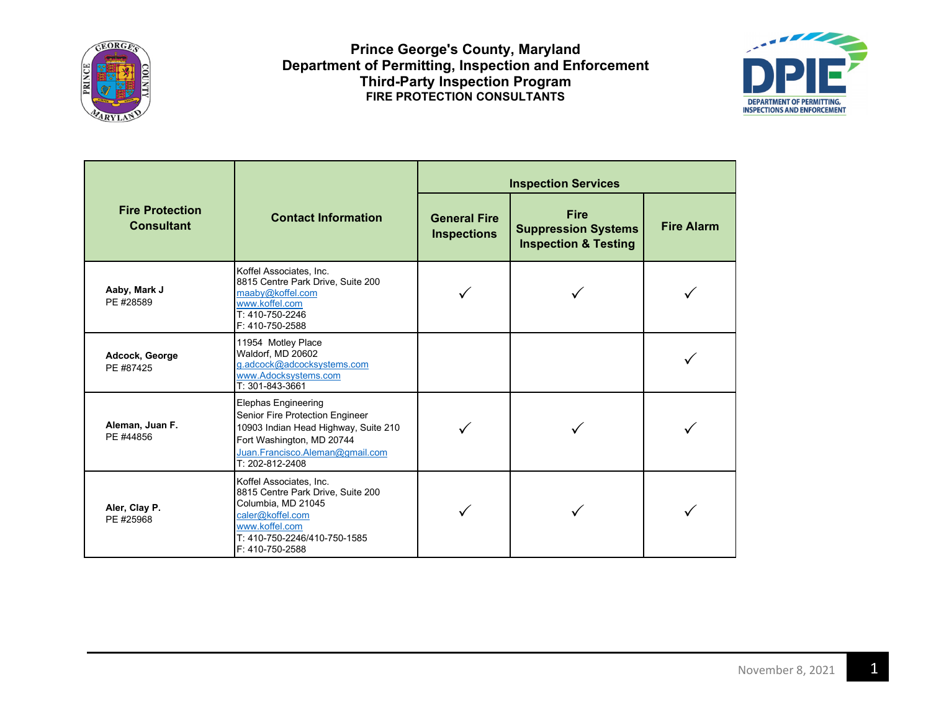



|                                             |                                                                                                                                                                                   |                                           | <b>Inspection Services</b>                                                   |                   |  |
|---------------------------------------------|-----------------------------------------------------------------------------------------------------------------------------------------------------------------------------------|-------------------------------------------|------------------------------------------------------------------------------|-------------------|--|
| <b>Fire Protection</b><br><b>Consultant</b> | <b>Contact Information</b>                                                                                                                                                        | <b>General Fire</b><br><b>Inspections</b> | <b>Fire</b><br><b>Suppression Systems</b><br><b>Inspection &amp; Testing</b> | <b>Fire Alarm</b> |  |
| Aaby, Mark J<br>PE #28589                   | Koffel Associates, Inc.<br>8815 Centre Park Drive, Suite 200<br>maaby@koffel.com<br>www.koffel.com<br>T: 410-750-2246<br>F: 410-750-2588                                          |                                           |                                                                              |                   |  |
| Adcock, George<br>PE #87425                 | 11954 Motley Place<br>Waldorf. MD 20602<br>g.adcock@adcocksystems.com<br>www.Adocksystems.com<br>T: 301-843-3661                                                                  |                                           |                                                                              |                   |  |
| Aleman, Juan F.<br>PE #44856                | Elephas Engineering<br>Senior Fire Protection Engineer<br>10903 Indian Head Highway, Suite 210<br>Fort Washington, MD 20744<br>Juan.Francisco.Aleman@gmail.com<br>T: 202-812-2408 |                                           |                                                                              |                   |  |
| Aler, Clay P.<br>PE #25968                  | Koffel Associates, Inc.<br>8815 Centre Park Drive, Suite 200<br>Columbia, MD 21045<br>caler@koffel.com<br>www.koffel.com<br>T: 410-750-2246/410-750-1585<br>F: 410-750-2588       |                                           |                                                                              |                   |  |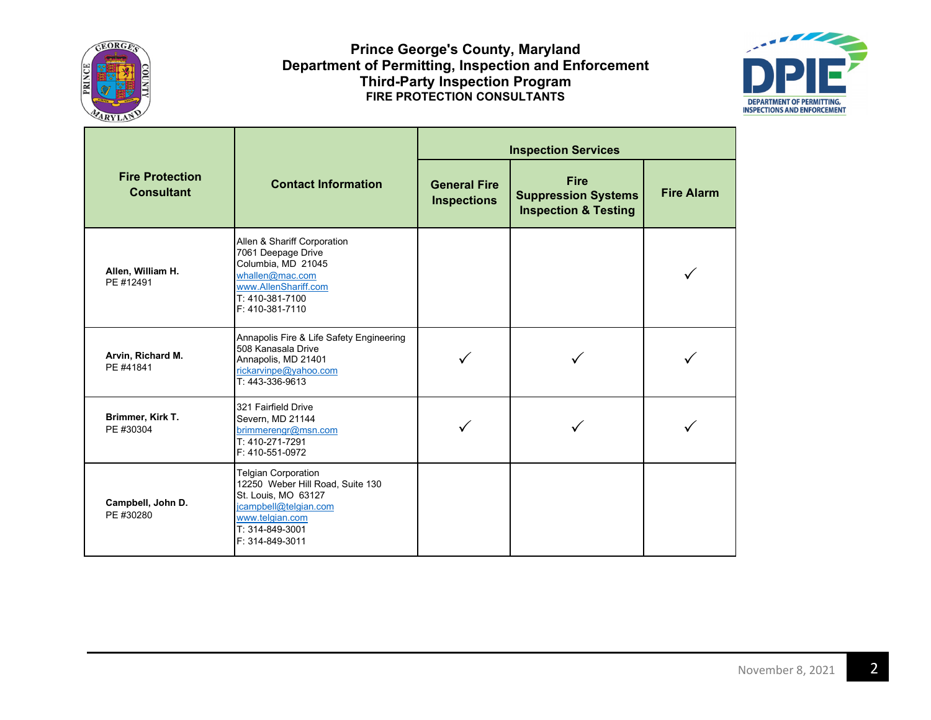



|                                             |                                                                                                                                                                         | <b>Inspection Services</b>                |                                                                              |                   |
|---------------------------------------------|-------------------------------------------------------------------------------------------------------------------------------------------------------------------------|-------------------------------------------|------------------------------------------------------------------------------|-------------------|
| <b>Fire Protection</b><br><b>Consultant</b> | <b>Contact Information</b>                                                                                                                                              | <b>General Fire</b><br><b>Inspections</b> | <b>Fire</b><br><b>Suppression Systems</b><br><b>Inspection &amp; Testing</b> | <b>Fire Alarm</b> |
| Allen, William H.<br>PE #12491              | Allen & Shariff Corporation<br>7061 Deepage Drive<br>Columbia, MD 21045<br>whallen@mac.com<br>www.AllenShariff.com<br>T: 410-381-7100<br>F: 410-381-7110                |                                           |                                                                              |                   |
| Arvin, Richard M.<br>PE #41841              | Annapolis Fire & Life Safety Engineering<br>508 Kanasala Drive<br>Annapolis, MD 21401<br>rickarvinpe@yahoo.com<br>T: 443-336-9613                                       |                                           |                                                                              |                   |
| Brimmer, Kirk T.<br>PE #30304               | 321 Fairfield Drive<br>Severn, MD 21144<br>brimmerengr@msn.com<br>T: 410-271-7291<br>F: 410-551-0972                                                                    |                                           |                                                                              |                   |
| Campbell, John D.<br>PE #30280              | <b>Telgian Corporation</b><br>12250 Weber Hill Road, Suite 130<br>St. Louis, MO 63127<br>jcampbell@telgian.com<br>www.telgian.com<br>T: 314-849-3001<br>F: 314-849-3011 |                                           |                                                                              |                   |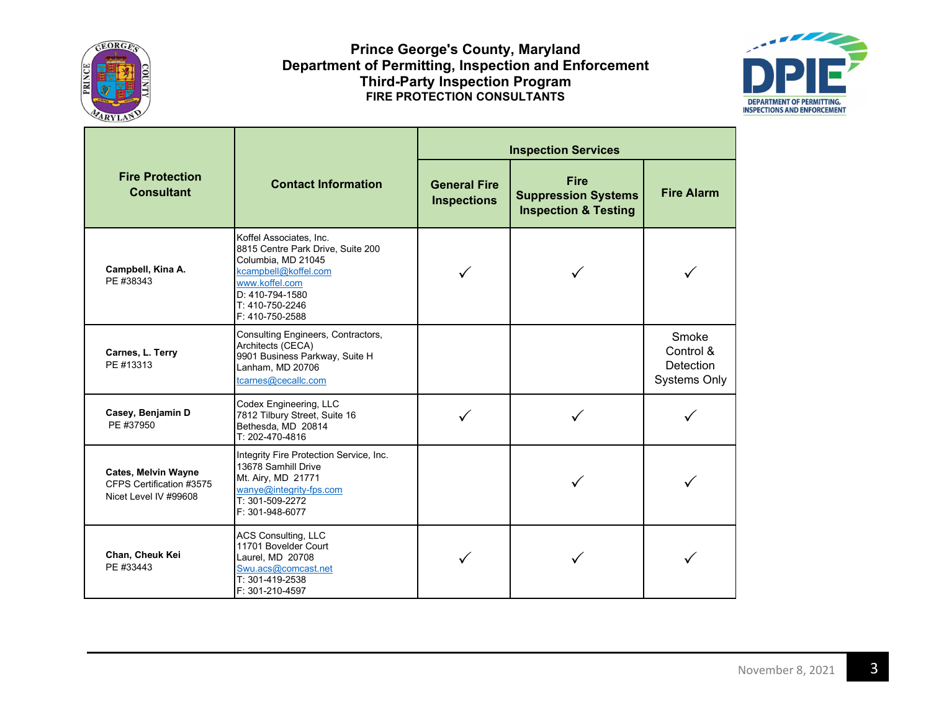



|                                                                                 |                                                                                                                                                                                       | <b>Inspection Services</b>                |                                                                              |                                                        |
|---------------------------------------------------------------------------------|---------------------------------------------------------------------------------------------------------------------------------------------------------------------------------------|-------------------------------------------|------------------------------------------------------------------------------|--------------------------------------------------------|
| <b>Fire Protection</b><br><b>Consultant</b>                                     | <b>Contact Information</b>                                                                                                                                                            | <b>General Fire</b><br><b>Inspections</b> | <b>Fire</b><br><b>Suppression Systems</b><br><b>Inspection &amp; Testing</b> | <b>Fire Alarm</b>                                      |
| Campbell, Kina A.<br>PE #38343                                                  | Koffel Associates, Inc.<br>8815 Centre Park Drive, Suite 200<br>Columbia, MD 21045<br>kcampbell@koffel.com<br>www.koffel.com<br>D: 410-794-1580<br>T: 410-750-2246<br>F: 410-750-2588 |                                           |                                                                              |                                                        |
| Carnes, L. Terry<br>PE #13313                                                   | Consulting Engineers, Contractors,<br>Architects (CECA)<br>9901 Business Parkway, Suite H<br>Lanham, MD 20706<br>tcarnes@cecallc.com                                                  |                                           |                                                                              | Smoke<br>Control &<br>Detection<br><b>Systems Only</b> |
| Casey, Benjamin D<br>PE #37950                                                  | Codex Engineering, LLC<br>7812 Tilbury Street, Suite 16<br>Bethesda, MD 20814<br>T: 202-470-4816                                                                                      |                                           |                                                                              |                                                        |
| <b>Cates, Melvin Wayne</b><br>CFPS Certification #3575<br>Nicet Level IV #99608 | Integrity Fire Protection Service, Inc.<br>13678 Samhill Drive<br>Mt. Airy, MD 21771<br>wanye@integrity-fps.com<br>T: 301-509-2272<br>F: 301-948-6077                                 |                                           |                                                                              |                                                        |
| Chan, Cheuk Kei<br>PE #33443                                                    | <b>ACS Consulting, LLC</b><br>11701 Bovelder Court<br>Laurel, MD 20708<br>Swu.acs@comcast.net<br>T: 301-419-2538<br>F: 301-210-4597                                                   |                                           |                                                                              |                                                        |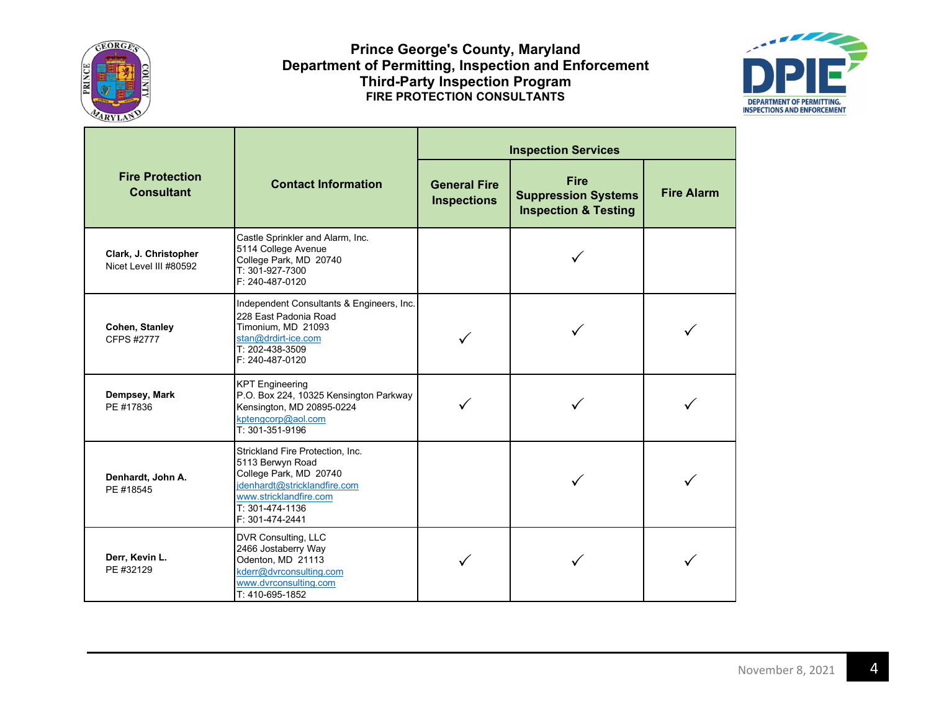



|                                                 |                                                                                                                                                                                | <b>Inspection Services</b>                |                                                                              |                   |
|-------------------------------------------------|--------------------------------------------------------------------------------------------------------------------------------------------------------------------------------|-------------------------------------------|------------------------------------------------------------------------------|-------------------|
| <b>Fire Protection</b><br><b>Consultant</b>     | <b>Contact Information</b>                                                                                                                                                     | <b>General Fire</b><br><b>Inspections</b> | <b>Fire</b><br><b>Suppression Systems</b><br><b>Inspection &amp; Testing</b> | <b>Fire Alarm</b> |
| Clark, J. Christopher<br>Nicet Level III #80592 | Castle Sprinkler and Alarm, Inc.<br>5114 College Avenue<br>College Park, MD 20740<br>T: 301-927-7300<br>F: 240-487-0120                                                        |                                           |                                                                              |                   |
| Cohen, Stanley<br><b>CFPS #2777</b>             | Independent Consultants & Engineers, Inc.<br>228 East Padonia Road<br>Timonium, MD 21093<br>stan@drdirt-ice.com<br>T: 202-438-3509<br>F: 240-487-0120                          |                                           |                                                                              |                   |
| Dempsey, Mark<br>PE #17836                      | <b>KPT Engineering</b><br>P.O. Box 224, 10325 Kensington Parkway<br>Kensington, MD 20895-0224<br>kptengcorp@aol.com<br>T: 301-351-9196                                         |                                           |                                                                              |                   |
| Denhardt, John A.<br>PE #18545                  | Strickland Fire Protection, Inc.<br>5113 Berwyn Road<br>College Park, MD 20740<br>jdenhardt@stricklandfire.com<br>www.stricklandfire.com<br>T: 301-474-1136<br>F: 301-474-2441 |                                           |                                                                              |                   |
| Derr, Kevin L.<br>PE #32129                     | DVR Consulting, LLC<br>2466 Jostaberry Way<br>Odenton, MD 21113<br>kderr@dvrconsulting.com<br>www.dvrconsulting.com<br>T: 410-695-1852                                         |                                           |                                                                              |                   |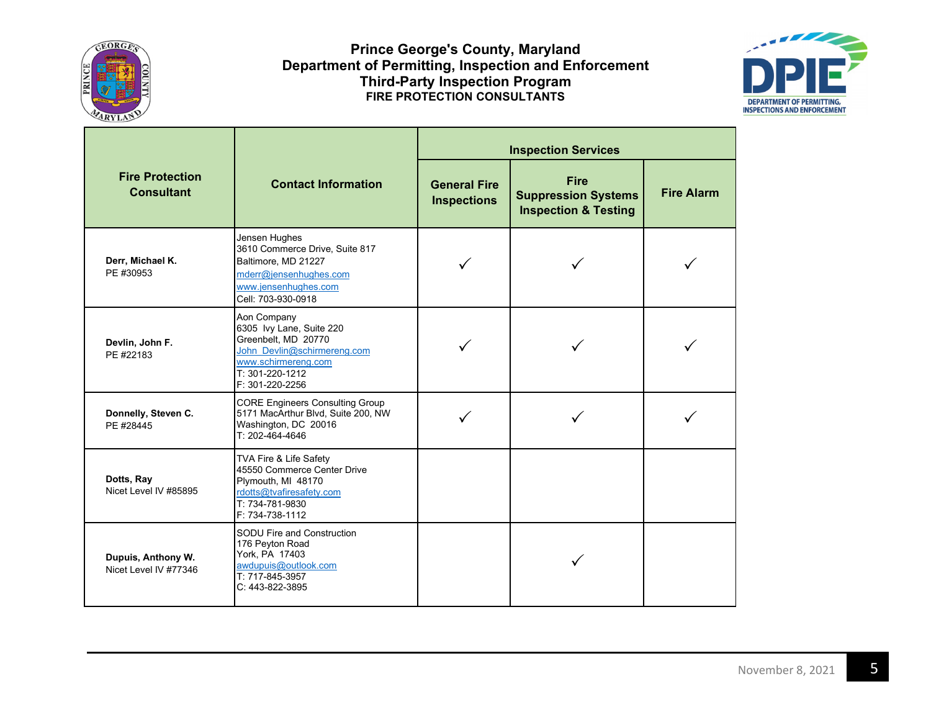



|                                             |                                                                                                                                                            | <b>Inspection Services</b>                |                                                                              |                   |
|---------------------------------------------|------------------------------------------------------------------------------------------------------------------------------------------------------------|-------------------------------------------|------------------------------------------------------------------------------|-------------------|
| <b>Fire Protection</b><br><b>Consultant</b> | <b>Contact Information</b>                                                                                                                                 | <b>General Fire</b><br><b>Inspections</b> | <b>Fire</b><br><b>Suppression Systems</b><br><b>Inspection &amp; Testing</b> | <b>Fire Alarm</b> |
| Derr, Michael K.<br>PE #30953               | Jensen Hughes<br>3610 Commerce Drive, Suite 817<br>Baltimore, MD 21227<br>mderr@jensenhughes.com<br>www.jensenhughes.com<br>Cell: 703-930-0918             |                                           |                                                                              |                   |
| Devlin, John F.<br>PE #22183                | Aon Company<br>6305 Ivy Lane, Suite 220<br>Greenbelt, MD 20770<br>John Devlin@schirmereng.com<br>www.schirmereng.com<br>T: 301-220-1212<br>F: 301-220-2256 |                                           |                                                                              |                   |
| Donnelly, Steven C.<br>PE #28445            | <b>CORE Engineers Consulting Group</b><br>5171 MacArthur Blvd, Suite 200, NW<br>Washington, DC 20016<br>T: 202-464-4646                                    |                                           |                                                                              |                   |
| Dotts, Ray<br>Nicet Level IV #85895         | TVA Fire & Life Safety<br>45550 Commerce Center Drive<br>Plymouth, MI 48170<br>rdotts@tvafiresafety.com<br>T: 734-781-9830<br>F: 734-738-1112              |                                           |                                                                              |                   |
| Dupuis, Anthony W.<br>Nicet Level IV #77346 | <b>SODU Fire and Construction</b><br>176 Peyton Road<br>York, PA 17403<br>awdupuis@outlook.com<br>T: 717-845-3957<br>C: 443-822-3895                       |                                           |                                                                              |                   |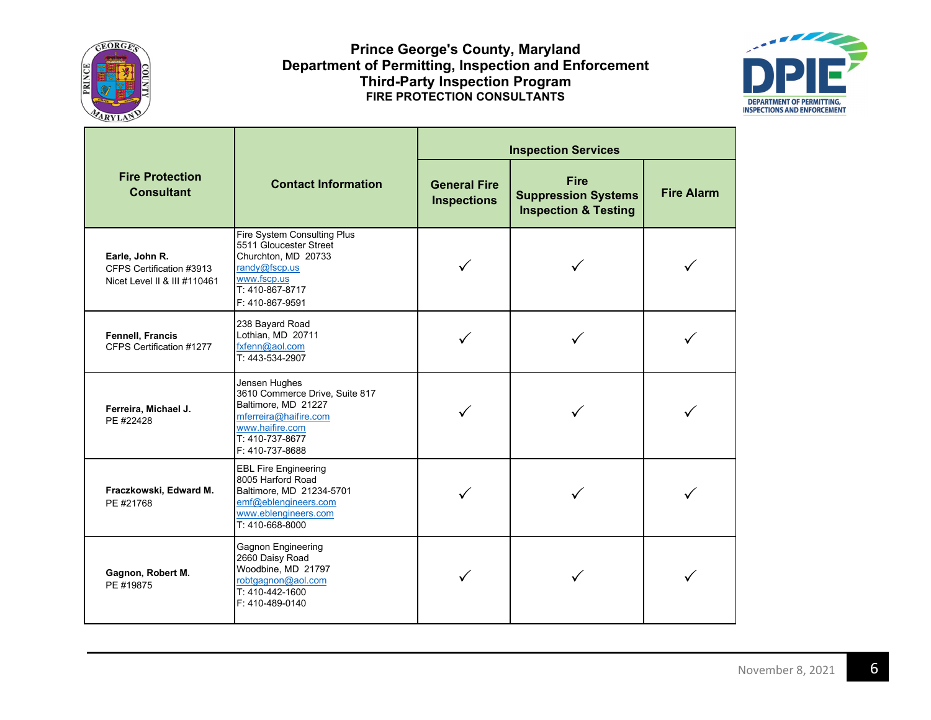



|                                                                            |                                                                                                                                                          | <b>Inspection Services</b>                |                                                                              |                   |
|----------------------------------------------------------------------------|----------------------------------------------------------------------------------------------------------------------------------------------------------|-------------------------------------------|------------------------------------------------------------------------------|-------------------|
| <b>Fire Protection</b><br><b>Consultant</b>                                | <b>Contact Information</b>                                                                                                                               | <b>General Fire</b><br><b>Inspections</b> | <b>Fire</b><br><b>Suppression Systems</b><br><b>Inspection &amp; Testing</b> | <b>Fire Alarm</b> |
| Earle, John R.<br>CFPS Certification #3913<br>Nicet Level II & III #110461 | Fire System Consulting Plus<br>5511 Gloucester Street<br>Churchton, MD 20733<br>randy@fscp.us<br>www.fscp.us<br>T: 410-867-8717<br>F: 410-867-9591       |                                           |                                                                              |                   |
| <b>Fennell, Francis</b><br>CFPS Certification #1277                        | 238 Bayard Road<br>Lothian, MD 20711<br>fxfenn@aol.com<br>T: 443-534-2907                                                                                |                                           |                                                                              |                   |
| Ferreira, Michael J.<br>PE #22428                                          | Jensen Hughes<br>3610 Commerce Drive, Suite 817<br>Baltimore, MD 21227<br>mferreira@haifire.com<br>www.haifire.com<br>T: 410-737-8677<br>F: 410-737-8688 |                                           |                                                                              |                   |
| Fraczkowski, Edward M.<br>PE #21768                                        | <b>EBL Fire Engineering</b><br>8005 Harford Road<br>Baltimore, MD 21234-5701<br>emf@eblengineers.com<br>www.eblengineers.com<br>T: 410-668-8000          |                                           |                                                                              |                   |
| Gagnon, Robert M.<br>PE #19875                                             | Gagnon Engineering<br>2660 Daisy Road<br>Woodbine, MD 21797<br>robtgagnon@aol.com<br>T: 410-442-1600<br>F: 410-489-0140                                  |                                           |                                                                              |                   |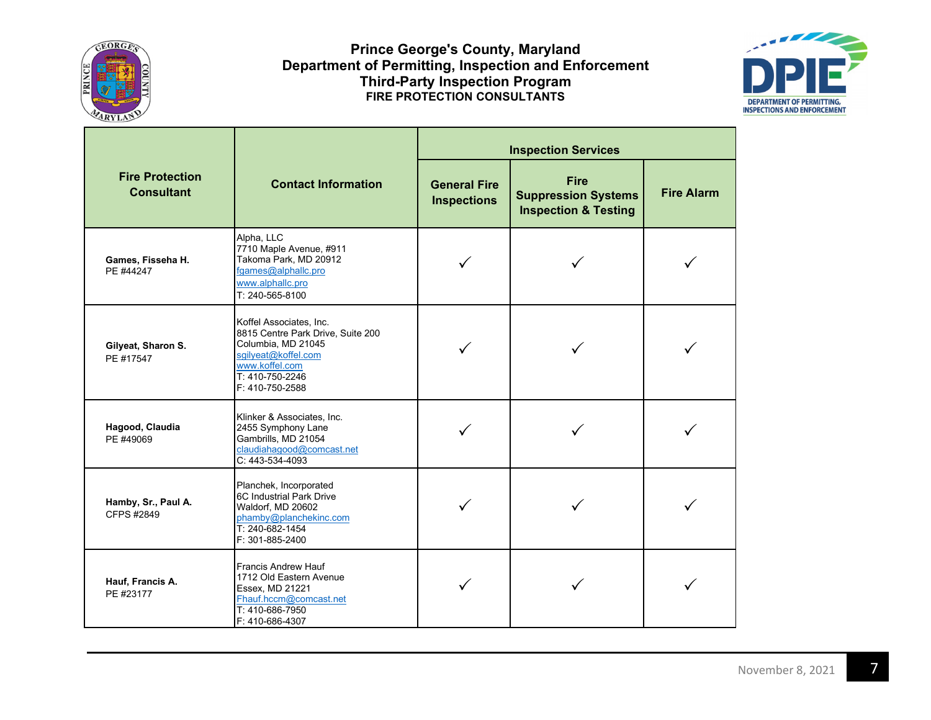



|                                             |                                                                                                                                                                   | <b>Inspection Services</b>                |                                                                              |                   |  |
|---------------------------------------------|-------------------------------------------------------------------------------------------------------------------------------------------------------------------|-------------------------------------------|------------------------------------------------------------------------------|-------------------|--|
| <b>Fire Protection</b><br><b>Consultant</b> | <b>Contact Information</b>                                                                                                                                        | <b>General Fire</b><br><b>Inspections</b> | <b>Fire</b><br><b>Suppression Systems</b><br><b>Inspection &amp; Testing</b> | <b>Fire Alarm</b> |  |
| Games, Fisseha H.<br>PE #44247              | Alpha, LLC<br>7710 Maple Avenue, #911<br>Takoma Park, MD 20912<br>fgames@alphallc.pro<br>www.alphallc.pro<br>T: 240-565-8100                                      |                                           |                                                                              |                   |  |
| Gilyeat, Sharon S.<br>PE #17547             | Koffel Associates, Inc.<br>8815 Centre Park Drive, Suite 200<br>Columbia, MD 21045<br>sgilyeat@koffel.com<br>www.koffel.com<br>T: 410-750-2246<br>F: 410-750-2588 |                                           |                                                                              |                   |  |
| Hagood, Claudia<br>PE #49069                | Klinker & Associates, Inc.<br>2455 Symphony Lane<br>Gambrills, MD 21054<br>claudiahagood@comcast.net<br>$C: 443 - 534 - 4093$                                     |                                           |                                                                              |                   |  |
| Hamby, Sr., Paul A.<br>CFPS #2849           | Planchek, Incorporated<br>6C Industrial Park Drive<br>Waldorf, MD 20602<br>phamby@planchekinc.com<br>T: 240-682-1454<br>F: 301-885-2400                           |                                           |                                                                              |                   |  |
| Hauf, Francis A.<br>PE #23177               | <b>Francis Andrew Hauf</b><br>1712 Old Eastern Avenue<br><b>Essex, MD 21221</b><br>Fhauf.hccm@comcast.net<br>T: 410-686-7950<br>F: 410-686-4307                   |                                           |                                                                              |                   |  |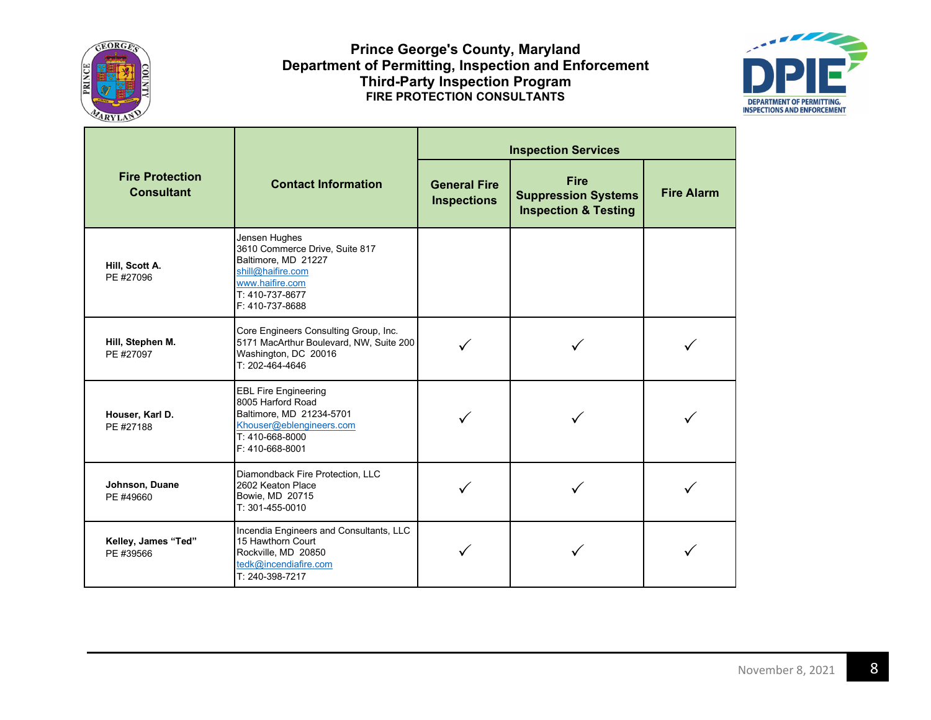



|                                             |                                                                                                                                                      | <b>Inspection Services</b>                |                                                                              |                   |  |
|---------------------------------------------|------------------------------------------------------------------------------------------------------------------------------------------------------|-------------------------------------------|------------------------------------------------------------------------------|-------------------|--|
| <b>Fire Protection</b><br><b>Consultant</b> | <b>Contact Information</b>                                                                                                                           | <b>General Fire</b><br><b>Inspections</b> | <b>Fire</b><br><b>Suppression Systems</b><br><b>Inspection &amp; Testing</b> | <b>Fire Alarm</b> |  |
| Hill, Scott A.<br>PE #27096                 | Jensen Hughes<br>3610 Commerce Drive, Suite 817<br>Baltimore, MD 21227<br>shill@haifire.com<br>www.haifire.com<br>T: 410-737-8677<br>F: 410-737-8688 |                                           |                                                                              |                   |  |
| Hill, Stephen M.<br>PE #27097               | Core Engineers Consulting Group, Inc.<br>5171 MacArthur Boulevard, NW, Suite 200<br>Washington, DC 20016<br>T: 202-464-4646                          |                                           |                                                                              |                   |  |
| Houser, Karl D.<br>PE #27188                | <b>EBL Fire Engineering</b><br>8005 Harford Road<br>Baltimore, MD 21234-5701<br>Khouser@eblengineers.com<br>T: 410-668-8000<br>F: 410-668-8001       |                                           |                                                                              |                   |  |
| Johnson, Duane<br>PE #49660                 | Diamondback Fire Protection, LLC<br>2602 Keaton Place<br>Bowie, MD 20715<br>T: 301-455-0010                                                          |                                           |                                                                              |                   |  |
| Kelley, James "Ted"<br>PE #39566            | Incendia Engineers and Consultants, LLC<br>15 Hawthorn Court<br>Rockville, MD 20850<br>tedk@incendiafire.com<br>T: 240-398-7217                      |                                           |                                                                              |                   |  |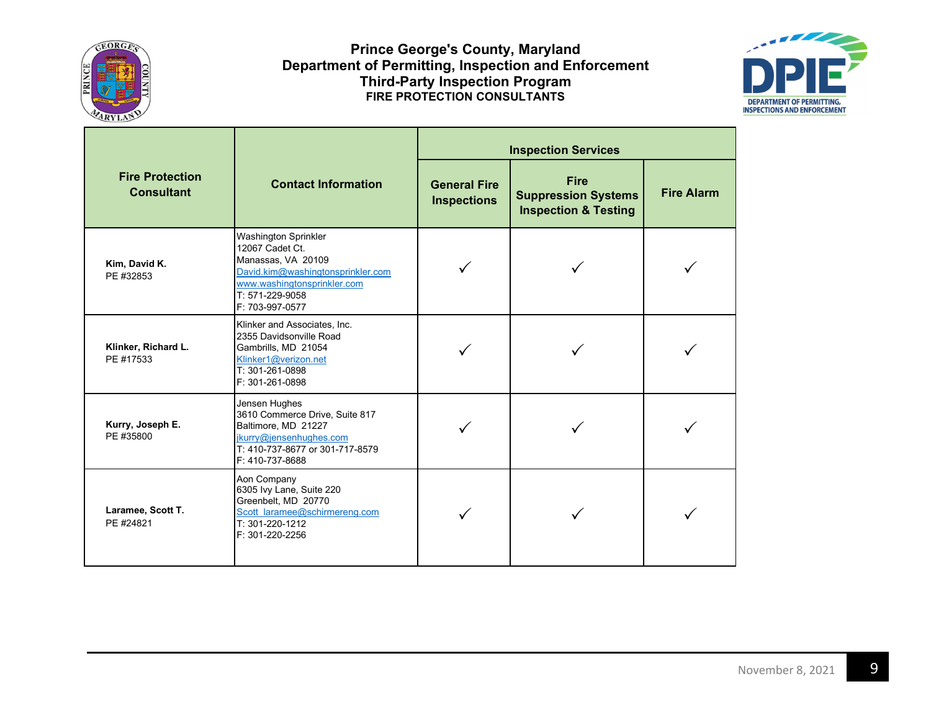



|                                             |                                                                                                                                                                                | <b>Inspection Services</b>                |                                                                              |                   |  |
|---------------------------------------------|--------------------------------------------------------------------------------------------------------------------------------------------------------------------------------|-------------------------------------------|------------------------------------------------------------------------------|-------------------|--|
| <b>Fire Protection</b><br><b>Consultant</b> | <b>Contact Information</b>                                                                                                                                                     | <b>General Fire</b><br><b>Inspections</b> | <b>Fire</b><br><b>Suppression Systems</b><br><b>Inspection &amp; Testing</b> | <b>Fire Alarm</b> |  |
| Kim, David K.<br>PE #32853                  | <b>Washington Sprinkler</b><br>12067 Cadet Ct.<br>Manassas, VA 20109<br>David.kim@washingtonsprinkler.com<br>www.washingtonsprinkler.com<br>T: 571-229-9058<br>F: 703-997-0577 |                                           |                                                                              |                   |  |
| Klinker, Richard L.<br>PE #17533            | Klinker and Associates, Inc.<br>2355 Davidsonville Road<br>Gambrills, MD 21054<br>Klinker1@verizon.net<br>T: 301-261-0898<br>F: 301-261-0898                                   |                                           |                                                                              |                   |  |
| Kurry, Joseph E.<br>PE #35800               | Jensen Hughes<br>3610 Commerce Drive, Suite 817<br>Baltimore, MD 21227<br>jkurry@jensenhughes.com<br>T: 410-737-8677 or 301-717-8579<br>F: 410-737-8688                        |                                           |                                                                              |                   |  |
| Laramee, Scott T.<br>PE #24821              | Aon Company<br>6305 Ivy Lane, Suite 220<br>Greenbelt, MD 20770<br>Scott laramee@schirmereng.com<br>T: 301-220-1212<br>F: 301-220-2256                                          |                                           |                                                                              |                   |  |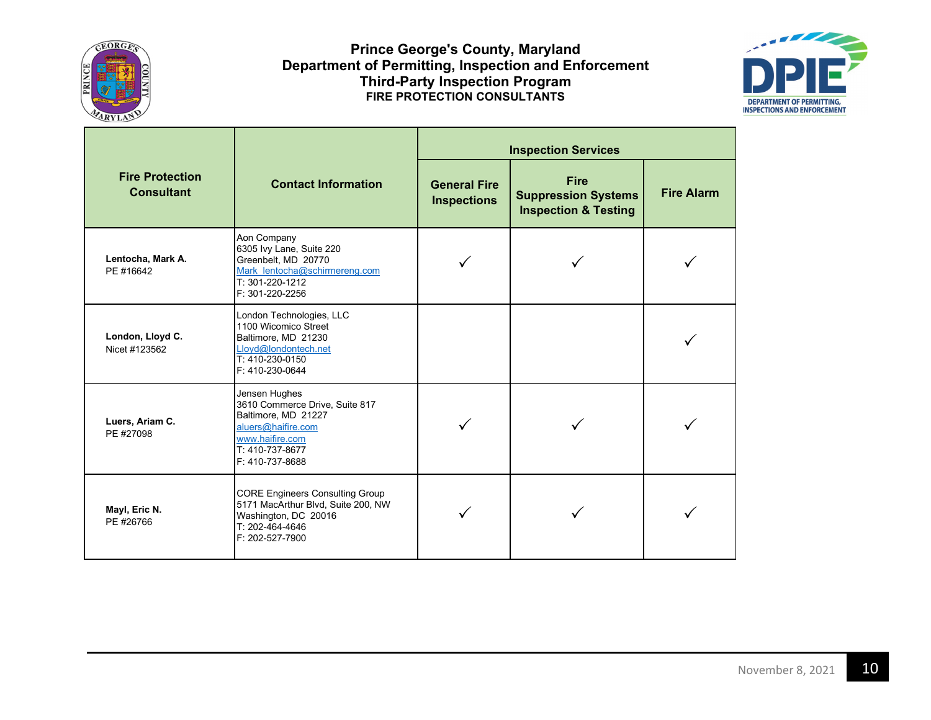



|                                             |                                                                                                                                                       | <b>Inspection Services</b>                |                                                                              |                   |  |
|---------------------------------------------|-------------------------------------------------------------------------------------------------------------------------------------------------------|-------------------------------------------|------------------------------------------------------------------------------|-------------------|--|
| <b>Fire Protection</b><br><b>Consultant</b> | <b>Contact Information</b>                                                                                                                            | <b>General Fire</b><br><b>Inspections</b> | <b>Fire</b><br><b>Suppression Systems</b><br><b>Inspection &amp; Testing</b> | <b>Fire Alarm</b> |  |
| Lentocha, Mark A.<br>PE #16642              | Aon Company<br>6305 Ivy Lane, Suite 220<br>Greenbelt, MD 20770<br>Mark lentocha@schirmereng.com<br>T: 301-220-1212<br>F: 301-220-2256                 |                                           |                                                                              |                   |  |
| London, Lloyd C.<br>Nicet #123562           | London Technologies, LLC<br>1100 Wicomico Street<br>Baltimore, MD 21230<br>Lloyd@londontech.net<br>T: 410-230-0150<br>F: 410-230-0644                 |                                           |                                                                              |                   |  |
| Luers, Ariam C.<br>PE #27098                | Jensen Hughes<br>3610 Commerce Drive, Suite 817<br>Baltimore, MD 21227<br>aluers@haifire.com<br>www.haifire.com<br>T: 410-737-8677<br>F: 410-737-8688 |                                           |                                                                              |                   |  |
| Mayl, Eric N.<br>PE #26766                  | <b>CORE Engineers Consulting Group</b><br>5171 MacArthur Blvd, Suite 200, NW<br>Washington, DC 20016<br>T: 202-464-4646<br>F: 202-527-7900            |                                           |                                                                              |                   |  |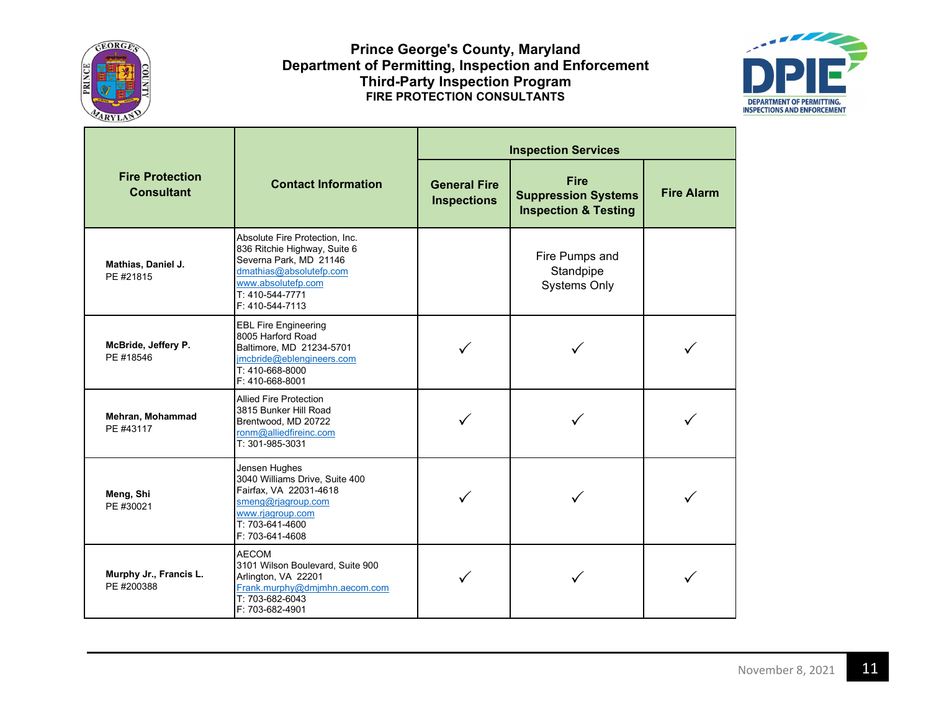



|                                             |                                                                                                                                                                                 | <b>Inspection Services</b>                |                                                                              |                   |  |
|---------------------------------------------|---------------------------------------------------------------------------------------------------------------------------------------------------------------------------------|-------------------------------------------|------------------------------------------------------------------------------|-------------------|--|
| <b>Fire Protection</b><br><b>Consultant</b> | <b>Contact Information</b>                                                                                                                                                      | <b>General Fire</b><br><b>Inspections</b> | <b>Fire</b><br><b>Suppression Systems</b><br><b>Inspection &amp; Testing</b> | <b>Fire Alarm</b> |  |
| Mathias, Daniel J.<br>PE #21815             | Absolute Fire Protection, Inc.<br>836 Ritchie Highway, Suite 6<br>Severna Park, MD 21146<br>dmathias@absolutefp.com<br>www.absolutefp.com<br>T: 410-544-7771<br>F: 410-544-7113 |                                           | Fire Pumps and<br>Standpipe<br><b>Systems Only</b>                           |                   |  |
| McBride, Jeffery P.<br>PE #18546            | <b>EBL Fire Engineering</b><br>8005 Harford Road<br>Baltimore, MD 21234-5701<br>imcbride@eblengineers.com<br>T: 410-668-8000<br>F: 410-668-8001                                 |                                           |                                                                              |                   |  |
| Mehran, Mohammad<br>PE #43117               | <b>Allied Fire Protection</b><br>3815 Bunker Hill Road<br>Brentwood. MD 20722<br>ronm@alliedfireinc.com<br>T: 301-985-3031                                                      |                                           |                                                                              |                   |  |
| Meng, Shi<br>PE #30021                      | Jensen Hughes<br>3040 Williams Drive, Suite 400<br>Fairfax, VA 22031-4618<br>smeng@rjagroup.com<br>www.rjagroup.com<br>T: 703-641-4600<br>F: 703-641-4608                       |                                           |                                                                              |                   |  |
| Murphy Jr., Francis L.<br>PE #200388        | <b>AECOM</b><br>3101 Wilson Boulevard, Suite 900<br>Arlington, VA 22201<br>Frank.murphy@dmjmhn.aecom.com<br>T: 703-682-6043<br>F: 703-682-4901                                  |                                           |                                                                              |                   |  |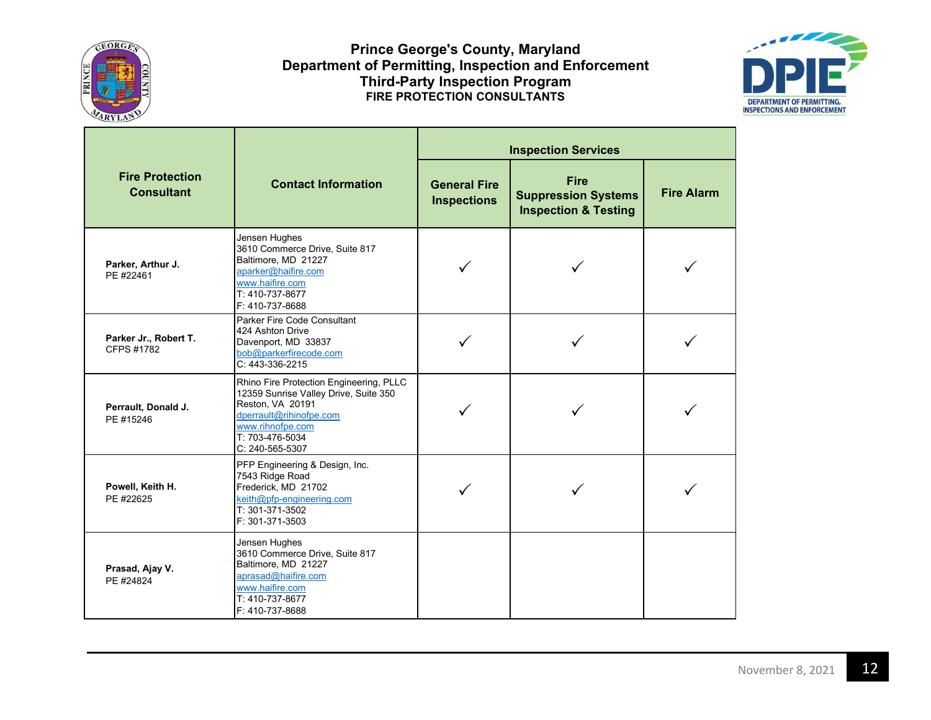



|                                             |                                                                                                                                                                                           | <b>Inspection Services</b>                |                                                                              |                   |
|---------------------------------------------|-------------------------------------------------------------------------------------------------------------------------------------------------------------------------------------------|-------------------------------------------|------------------------------------------------------------------------------|-------------------|
| <b>Fire Protection</b><br><b>Consultant</b> | <b>Contact Information</b>                                                                                                                                                                | <b>General Fire</b><br><b>Inspections</b> | <b>Fire</b><br><b>Suppression Systems</b><br><b>Inspection &amp; Testing</b> | <b>Fire Alarm</b> |
| Parker, Arthur J.<br>PE #22461              | Jensen Hughes<br>3610 Commerce Drive, Suite 817<br>Baltimore, MD 21227<br>aparker@haifire.com<br>www.haifire.com<br>T: 410-737-8677<br>F: 410-737-8688                                    |                                           |                                                                              |                   |
| Parker Jr., Robert T.<br>CFPS #1782         | Parker Fire Code Consultant<br>424 Ashton Drive<br>Davenport, MD 33837<br>bob@parkerfirecode.com<br>C: 443-336-2215                                                                       |                                           |                                                                              |                   |
| Perrault, Donald J.<br>PE #15246            | Rhino Fire Protection Engineering, PLLC<br>12359 Sunrise Valley Drive, Suite 350<br>Reston, VA 20191<br>dperrault@rihinofpe.com<br>www.rihnofpe.com<br>T: 703-476-5034<br>C: 240-565-5307 |                                           |                                                                              |                   |
| Powell, Keith H.<br>PE #22625               | PFP Engineering & Design, Inc.<br>7543 Ridge Road<br>Frederick, MD 21702<br>keith@pfp-engineering.com<br>T: 301-371-3502<br>F: 301-371-3503                                               |                                           |                                                                              |                   |
| Prasad, Ajay V.<br>PE #24824                | Jensen Hughes<br>3610 Commerce Drive, Suite 817<br>Baltimore, MD 21227<br>aprasad@haifire.com<br>www.haifire.com<br>T: 410-737-8677<br>F: 410-737-8688                                    |                                           |                                                                              |                   |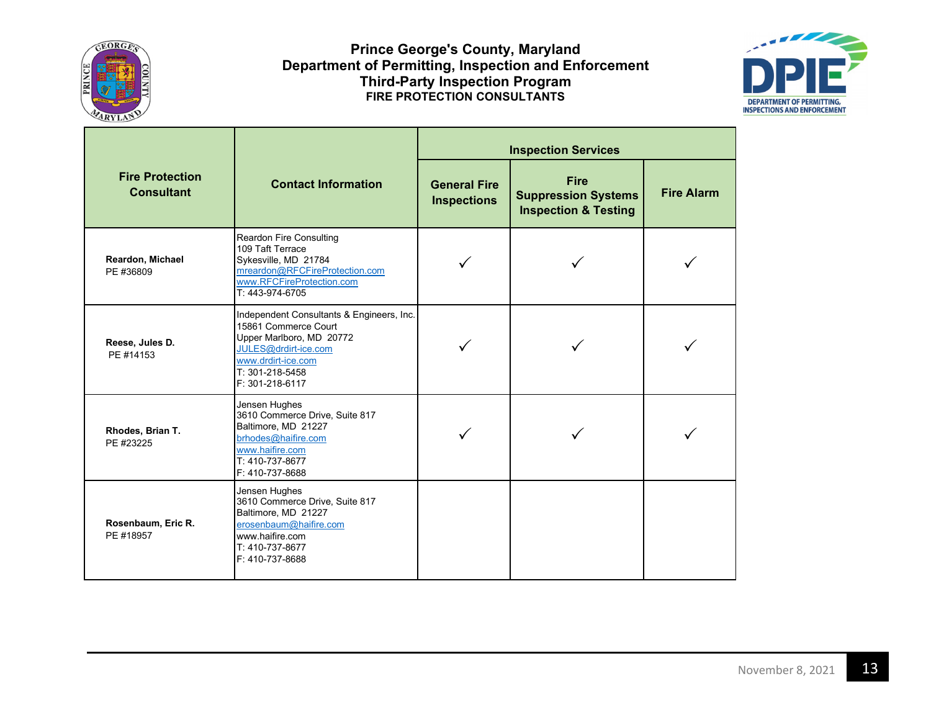



|                                             |                                                                                                                                                                                   | <b>Inspection Services</b>                |                                                                              |                   |
|---------------------------------------------|-----------------------------------------------------------------------------------------------------------------------------------------------------------------------------------|-------------------------------------------|------------------------------------------------------------------------------|-------------------|
| <b>Fire Protection</b><br><b>Consultant</b> | <b>Contact Information</b>                                                                                                                                                        | <b>General Fire</b><br><b>Inspections</b> | <b>Fire</b><br><b>Suppression Systems</b><br><b>Inspection &amp; Testing</b> | <b>Fire Alarm</b> |
| Reardon, Michael<br>PE #36809               | Reardon Fire Consulting<br>109 Taft Terrace<br>Sykesville, MD 21784<br>mreardon@RFCFireProtection.com<br>www.RFCFireProtection.com<br>T: 443-974-6705                             |                                           |                                                                              |                   |
| Reese, Jules D.<br>PE #14153                | Independent Consultants & Engineers, Inc.<br>15861 Commerce Court<br>Upper Marlboro, MD 20772<br>JULES@drdirt-ice.com<br>www.drdirt-ice.com<br>T: 301-218-5458<br>F: 301-218-6117 |                                           |                                                                              |                   |
| Rhodes, Brian T.<br>PE #23225               | Jensen Hughes<br>3610 Commerce Drive, Suite 817<br>Baltimore, MD 21227<br>brhodes@haifire.com<br>www.haifire.com<br>T: 410-737-8677<br>F: 410-737-8688                            |                                           |                                                                              |                   |
| Rosenbaum, Eric R.<br>PE #18957             | Jensen Hughes<br>3610 Commerce Drive, Suite 817<br>Baltimore, MD 21227<br>erosenbaum@haifire.com<br>www.haifire.com<br>T: 410-737-8677<br>F: 410-737-8688                         |                                           |                                                                              |                   |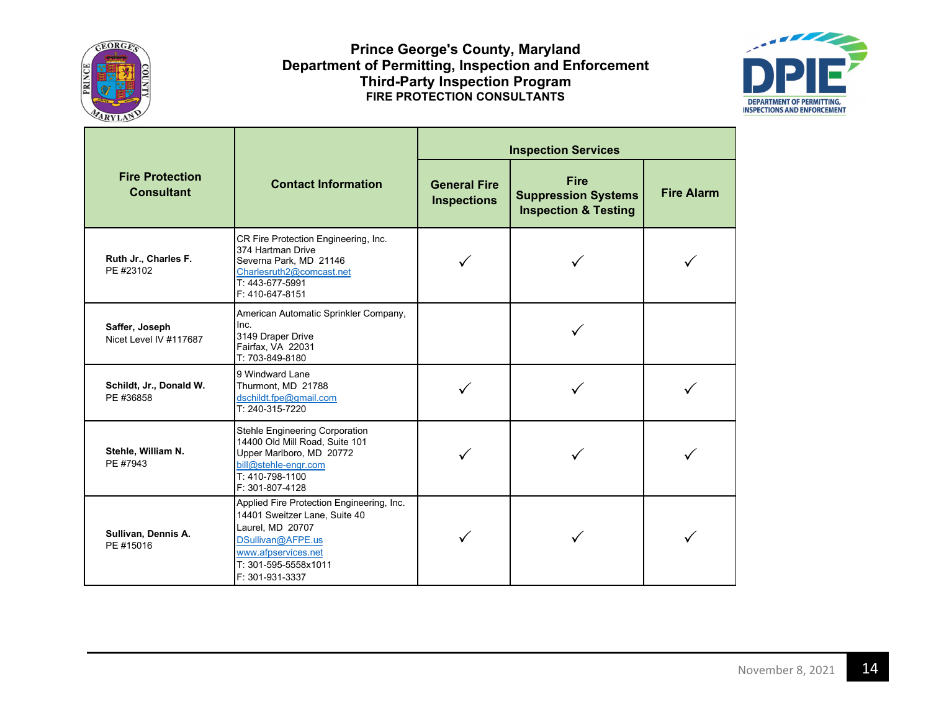



|                                             |                                                                                                                                                                                       | <b>Inspection Services</b>                |                                                                              |                   |
|---------------------------------------------|---------------------------------------------------------------------------------------------------------------------------------------------------------------------------------------|-------------------------------------------|------------------------------------------------------------------------------|-------------------|
| <b>Fire Protection</b><br><b>Consultant</b> | <b>Contact Information</b>                                                                                                                                                            | <b>General Fire</b><br><b>Inspections</b> | <b>Fire</b><br><b>Suppression Systems</b><br><b>Inspection &amp; Testing</b> | <b>Fire Alarm</b> |
| Ruth Jr., Charles F.<br>PE #23102           | CR Fire Protection Engineering, Inc.<br>374 Hartman Drive<br>Severna Park, MD 21146<br>Charlesruth2@comcast.net<br>T: 443-677-5991<br>F: 410-647-8151                                 |                                           |                                                                              |                   |
| Saffer, Joseph<br>Nicet Level IV #117687    | American Automatic Sprinkler Company,<br>Inc.<br>3149 Draper Drive<br>Fairfax, VA 22031<br>T: 703-849-8180                                                                            |                                           |                                                                              |                   |
| Schildt, Jr., Donald W.<br>PE #36858        | 9 Windward Lane<br>Thurmont, MD 21788<br>dschildt.fpe@gmail.com<br>T: 240-315-7220                                                                                                    |                                           |                                                                              |                   |
| Stehle, William N.<br>PE #7943              | Stehle Engineering Corporation<br>14400 Old Mill Road, Suite 101<br>Upper Marlboro, MD 20772<br>bill@stehle-engr.com<br>T: 410-798-1100<br>F: 301-807-4128                            |                                           |                                                                              |                   |
| Sullivan, Dennis A.<br>PE #15016            | Applied Fire Protection Engineering, Inc.<br>14401 Sweitzer Lane, Suite 40<br>Laurel, MD 20707<br>DSullivan@AFPE.us<br>www.afpservices.net<br>T: 301-595-5558x1011<br>F: 301-931-3337 |                                           |                                                                              |                   |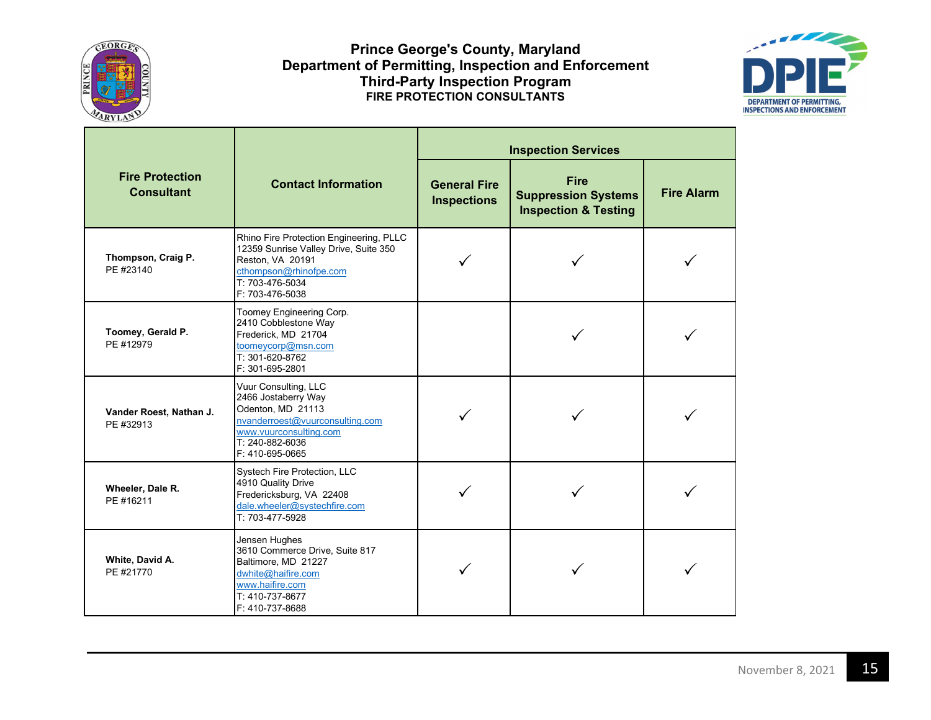



|                                             |                                                                                                                                                                      | <b>Inspection Services</b>                |                                                                              |                   |
|---------------------------------------------|----------------------------------------------------------------------------------------------------------------------------------------------------------------------|-------------------------------------------|------------------------------------------------------------------------------|-------------------|
| <b>Fire Protection</b><br><b>Consultant</b> | <b>Contact Information</b>                                                                                                                                           | <b>General Fire</b><br><b>Inspections</b> | <b>Fire</b><br><b>Suppression Systems</b><br><b>Inspection &amp; Testing</b> | <b>Fire Alarm</b> |
| Thompson, Craig P.<br>PE #23140             | Rhino Fire Protection Engineering, PLLC<br>12359 Sunrise Valley Drive, Suite 350<br>Reston, VA 20191<br>cthompson@rhinofpe.com<br>T: 703-476-5034<br>F: 703-476-5038 |                                           |                                                                              |                   |
| Toomey, Gerald P.<br>PE #12979              | Toomey Engineering Corp.<br>2410 Cobblestone Way<br>Frederick, MD 21704<br>toomeycorp@msn.com<br>T: 301-620-8762<br>F: 301-695-2801                                  |                                           |                                                                              |                   |
| Vander Roest, Nathan J.<br>PE #32913        | Vuur Consulting, LLC<br>2466 Jostaberry Way<br>Odenton, MD 21113<br>nvanderroest@vuurconsulting.com<br>www.vuurconsulting.com<br>T: 240-882-6036<br>F: 410-695-0665  |                                           |                                                                              |                   |
| Wheeler, Dale R.<br>PE #16211               | <b>Systech Fire Protection, LLC</b><br>4910 Quality Drive<br>Fredericksburg, VA 22408<br>dale.wheeler@systechfire.com<br>T: 703-477-5928                             |                                           |                                                                              |                   |
| White, David A.<br>PE #21770                | Jensen Hughes<br>3610 Commerce Drive, Suite 817<br>Baltimore, MD 21227<br>dwhite@haifire.com<br>www.haifire.com<br>T: 410-737-8677<br>F: 410-737-8688                |                                           |                                                                              |                   |